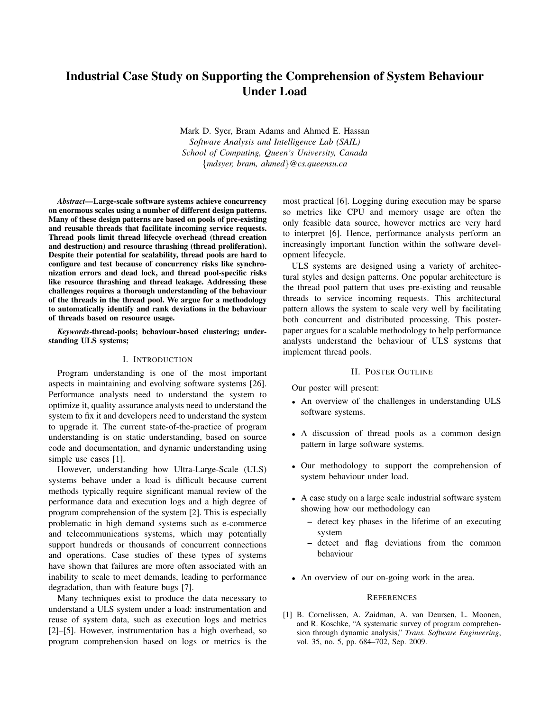# Industrial Case Study on Supporting the Comprehension of System Behaviour Under Load

Mark D. Syer, Bram Adams and Ahmed E. Hassan *Software Analysis and Intelligence Lab (SAIL) School of Computing, Queen's University, Canada* {*mdsyer, bram, ahmed*}*@cs.queensu.ca*

*Abstract*—Large-scale software systems achieve concurrency on enormous scales using a number of different design patterns. Many of these design patterns are based on pools of pre-existing and reusable threads that facilitate incoming service requests. Thread pools limit thread lifecycle overhead (thread creation and destruction) and resource thrashing (thread proliferation). Despite their potential for scalability, thread pools are hard to configure and test because of concurrency risks like synchronization errors and dead lock, and thread pool-specific risks like resource thrashing and thread leakage. Addressing these challenges requires a thorough understanding of the behaviour of the threads in the thread pool. We argue for a methodology to automatically identify and rank deviations in the behaviour of threads based on resource usage.

## *Keywords*-thread-pools; behaviour-based clustering; understanding ULS systems;

# I. INTRODUCTION

Program understanding is one of the most important aspects in maintaining and evolving software systems [26]. Performance analysts need to understand the system to optimize it, quality assurance analysts need to understand the system to fix it and developers need to understand the system to upgrade it. The current state-of-the-practice of program understanding is on static understanding, based on source code and documentation, and dynamic understanding using simple use cases [1].

However, understanding how Ultra-Large-Scale (ULS) systems behave under a load is difficult because current methods typically require significant manual review of the performance data and execution logs and a high degree of program comprehension of the system [2]. This is especially problematic in high demand systems such as e-commerce and telecommunications systems, which may potentially support hundreds or thousands of concurrent connections and operations. Case studies of these types of systems have shown that failures are more often associated with an inability to scale to meet demands, leading to performance degradation, than with feature bugs [7].

Many techniques exist to produce the data necessary to understand a ULS system under a load: instrumentation and reuse of system data, such as execution logs and metrics [2]–[5]. However, instrumentation has a high overhead, so program comprehension based on logs or metrics is the most practical [6]. Logging during execution may be sparse so metrics like CPU and memory usage are often the only feasible data source, however metrics are very hard to interpret [6]. Hence, performance analysts perform an increasingly important function within the software development lifecycle.

ULS systems are designed using a variety of architectural styles and design patterns. One popular architecture is the thread pool pattern that uses pre-existing and reusable threads to service incoming requests. This architectural pattern allows the system to scale very well by facilitating both concurrent and distributed processing. This posterpaper argues for a scalable methodology to help performance analysts understand the behaviour of ULS systems that implement thread pools.

#### II. POSTER OUTLINE

Our poster will present:

- An overview of the challenges in understanding ULS software systems.
- A discussion of thread pools as a common design pattern in large software systems.
- Our methodology to support the comprehension of system behaviour under load.
- A case study on a large scale industrial software system showing how our methodology can
	- detect key phases in the lifetime of an executing system
	- detect and flag deviations from the common behaviour
- An overview of our on-going work in the area.

## **REFERENCES**

[1] B. Cornelissen, A. Zaidman, A. van Deursen, L. Moonen, and R. Koschke, "A systematic survey of program comprehension through dynamic analysis," *Trans. Software Engineering*, vol. 35, no. 5, pp. 684–702, Sep. 2009.